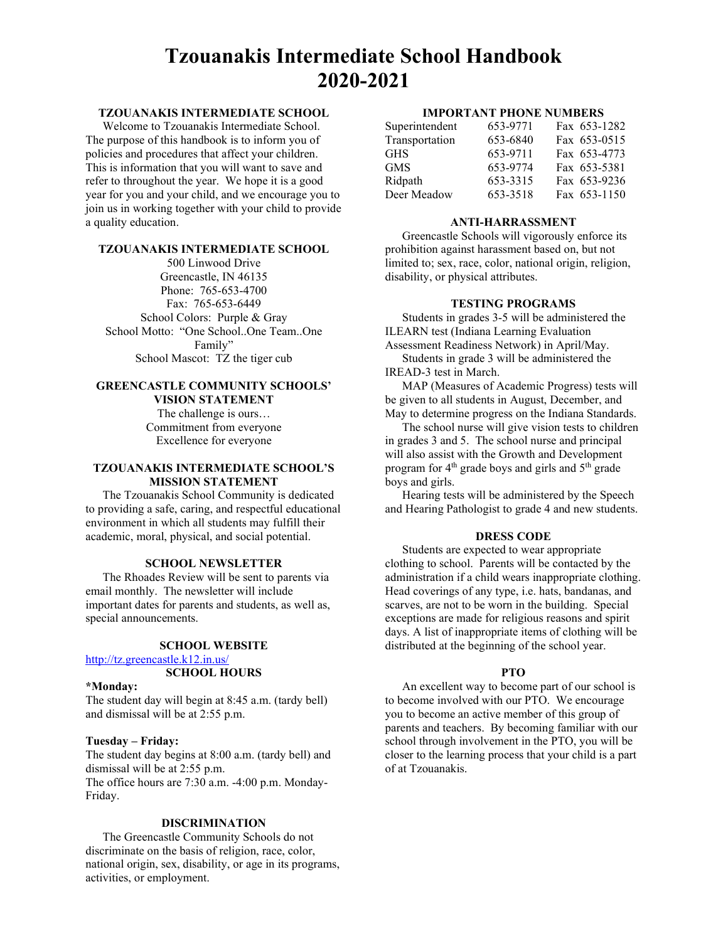# Tzouanakis Intermediate School Handbook 2020-2021

# TZOUANAKIS INTERMEDIATE SCHOOL

Welcome to Tzouanakis Intermediate School. The purpose of this handbook is to inform you of policies and procedures that affect your children. This is information that you will want to save and refer to throughout the year. We hope it is a good year for you and your child, and we encourage you to join us in working together with your child to provide a quality education.

## TZOUANAKIS INTERMEDIATE SCHOOL

500 Linwood Drive Greencastle, IN 46135 Phone: 765-653-4700 Fax: 765-653-6449 School Colors: Purple & Gray School Motto: "One School..One Team..One Family" School Mascot: TZ the tiger cub

## GREENCASTLE COMMUNITY SCHOOLS' VISION STATEMENT

The challenge is ours… Commitment from everyone Excellence for everyone

## TZOUANAKIS INTERMEDIATE SCHOOL'S MISSION STATEMENT

The Tzouanakis School Community is dedicated to providing a safe, caring, and respectful educational environment in which all students may fulfill their academic, moral, physical, and social potential.

# SCHOOL NEWSLETTER

The Rhoades Review will be sent to parents via email monthly. The newsletter will include important dates for parents and students, as well as, special announcements.

# SCHOOL WEBSITE

http://tz.greencastle.k12.in.us/

## SCHOOL HOURS

#### \*Monday:

The student day will begin at 8:45 a.m. (tardy bell) and dismissal will be at 2:55 p.m.

## Tuesday – Friday:

The student day begins at 8:00 a.m. (tardy bell) and dismissal will be at 2:55 p.m. The office hours are 7:30 a.m. -4:00 p.m. Monday-Friday.

#### DISCRIMINATION

The Greencastle Community Schools do not discriminate on the basis of religion, race, color, national origin, sex, disability, or age in its programs, activities, or employment.

#### IMPORTANT PHONE NUMBERS

| Superintendent | 653-9771 | Fax 653-1282 |
|----------------|----------|--------------|
| Transportation | 653-6840 | Fax 653-0515 |
| <b>GHS</b>     | 653-9711 | Fax 653-4773 |
| <b>GMS</b>     | 653-9774 | Fax 653-5381 |
| Ridpath        | 653-3315 | Fax 653-9236 |
| Deer Meadow    | 653-3518 | Fax 653-1150 |

#### ANTI-HARRASSMENT

Greencastle Schools will vigorously enforce its prohibition against harassment based on, but not limited to; sex, race, color, national origin, religion, disability, or physical attributes.

#### TESTING PROGRAMS

Students in grades 3-5 will be administered the ILEARN test (Indiana Learning Evaluation

Assessment Readiness Network) in April/May.

Students in grade 3 will be administered the IREAD-3 test in March.

MAP (Measures of Academic Progress) tests will be given to all students in August, December, and May to determine progress on the Indiana Standards.

The school nurse will give vision tests to children in grades 3 and 5. The school nurse and principal will also assist with the Growth and Development program for 4<sup>th</sup> grade boys and girls and 5<sup>th</sup> grade boys and girls.

Hearing tests will be administered by the Speech and Hearing Pathologist to grade 4 and new students.

## DRESS CODE

Students are expected to wear appropriate clothing to school. Parents will be contacted by the administration if a child wears inappropriate clothing. Head coverings of any type, i.e. hats, bandanas, and scarves, are not to be worn in the building. Special exceptions are made for religious reasons and spirit days. A list of inappropriate items of clothing will be distributed at the beginning of the school year.

#### PTO

An excellent way to become part of our school is to become involved with our PTO. We encourage you to become an active member of this group of parents and teachers. By becoming familiar with our school through involvement in the PTO, you will be closer to the learning process that your child is a part of at Tzouanakis.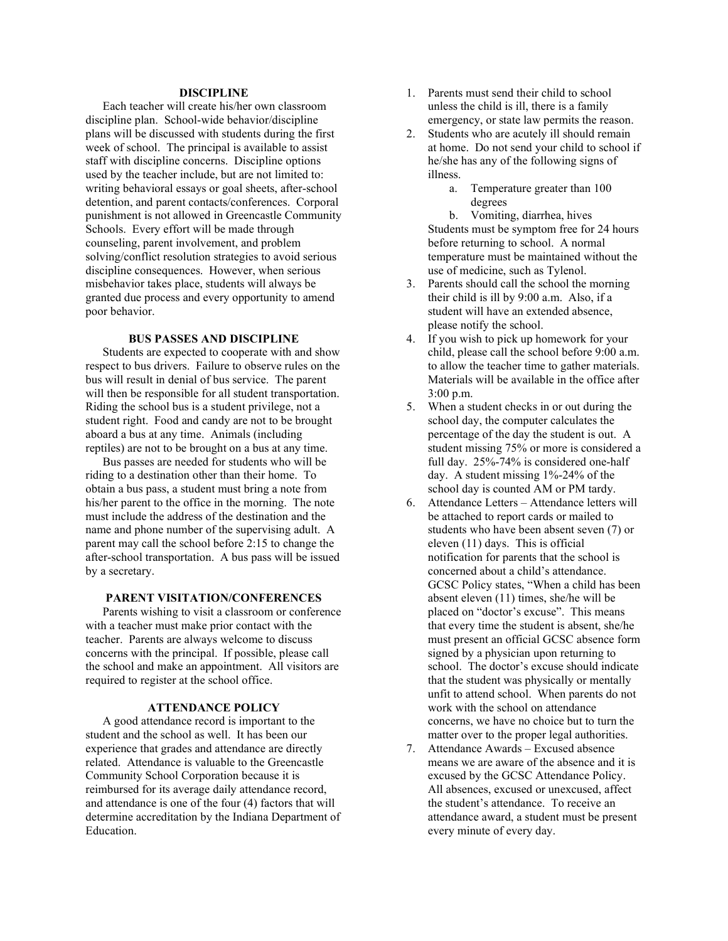## **DISCIPLINE**

Each teacher will create his/her own classroom discipline plan. School-wide behavior/discipline plans will be discussed with students during the first week of school. The principal is available to assist staff with discipline concerns. Discipline options used by the teacher include, but are not limited to: writing behavioral essays or goal sheets, after-school detention, and parent contacts/conferences. Corporal punishment is not allowed in Greencastle Community Schools. Every effort will be made through counseling, parent involvement, and problem solving/conflict resolution strategies to avoid serious discipline consequences. However, when serious misbehavior takes place, students will always be granted due process and every opportunity to amend poor behavior.

#### BUS PASSES AND DISCIPLINE

Students are expected to cooperate with and show respect to bus drivers. Failure to observe rules on the bus will result in denial of bus service. The parent will then be responsible for all student transportation. Riding the school bus is a student privilege, not a student right. Food and candy are not to be brought aboard a bus at any time. Animals (including reptiles) are not to be brought on a bus at any time.

Bus passes are needed for students who will be riding to a destination other than their home. To obtain a bus pass, a student must bring a note from his/her parent to the office in the morning. The note must include the address of the destination and the name and phone number of the supervising adult. A parent may call the school before 2:15 to change the after-school transportation. A bus pass will be issued by a secretary.

## PARENT VISITATION/CONFERENCES

Parents wishing to visit a classroom or conference with a teacher must make prior contact with the teacher. Parents are always welcome to discuss concerns with the principal. If possible, please call the school and make an appointment. All visitors are required to register at the school office.

#### ATTENDANCE POLICY

A good attendance record is important to the student and the school as well. It has been our experience that grades and attendance are directly related. Attendance is valuable to the Greencastle Community School Corporation because it is reimbursed for its average daily attendance record, and attendance is one of the four (4) factors that will determine accreditation by the Indiana Department of Education.

- 1. Parents must send their child to school unless the child is ill, there is a family emergency, or state law permits the reason.
- 2. Students who are acutely ill should remain at home. Do not send your child to school if he/she has any of the following signs of illness.
	- a. Temperature greater than 100 degrees

b. Vomiting, diarrhea, hives Students must be symptom free for 24 hours before returning to school. A normal temperature must be maintained without the use of medicine, such as Tylenol.

- 3. Parents should call the school the morning their child is ill by 9:00 a.m. Also, if a student will have an extended absence, please notify the school.
- 4. If you wish to pick up homework for your child, please call the school before 9:00 a.m. to allow the teacher time to gather materials. Materials will be available in the office after 3:00 p.m.
- 5. When a student checks in or out during the school day, the computer calculates the percentage of the day the student is out. A student missing 75% or more is considered a full day. 25%-74% is considered one-half day. A student missing 1%-24% of the school day is counted AM or PM tardy.
- 6. Attendance Letters Attendance letters will be attached to report cards or mailed to students who have been absent seven (7) or eleven (11) days. This is official notification for parents that the school is concerned about a child's attendance. GCSC Policy states, "When a child has been absent eleven (11) times, she/he will be placed on "doctor's excuse". This means that every time the student is absent, she/he must present an official GCSC absence form signed by a physician upon returning to school. The doctor's excuse should indicate that the student was physically or mentally unfit to attend school. When parents do not work with the school on attendance concerns, we have no choice but to turn the matter over to the proper legal authorities.
- 7. Attendance Awards Excused absence means we are aware of the absence and it is excused by the GCSC Attendance Policy. All absences, excused or unexcused, affect the student's attendance. To receive an attendance award, a student must be present every minute of every day.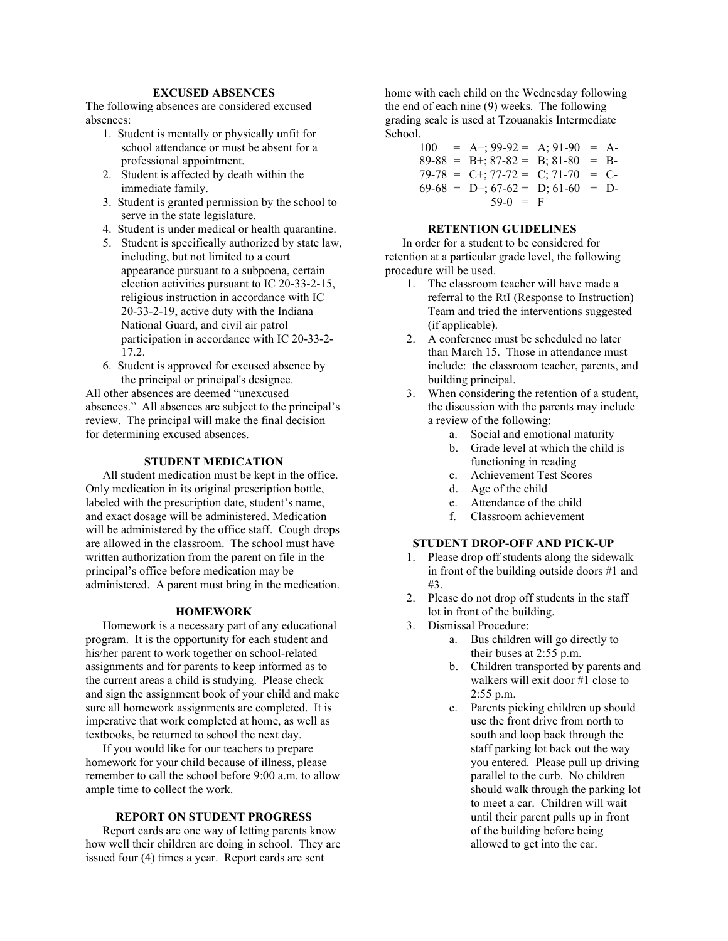# EXCUSED ABSENCES

The following absences are considered excused absences:

- 1. Student is mentally or physically unfit for school attendance or must be absent for a professional appointment.
- 2. Student is affected by death within the immediate family.
- 3. Student is granted permission by the school to serve in the state legislature.
- 4. Student is under medical or health quarantine.
- 5. Student is specifically authorized by state law, including, but not limited to a court appearance pursuant to a subpoena, certain election activities pursuant to IC 20-33-2-15, religious instruction in accordance with IC 20-33-2-19, active duty with the Indiana National Guard, and civil air patrol participation in accordance with IC 20-33-2- 17.2.
- 6. Student is approved for excused absence by the principal or principal's designee.

All other absences are deemed "unexcused absences." All absences are subject to the principal's review. The principal will make the final decision for determining excused absences.

#### STUDENT MEDICATION

All student medication must be kept in the office. Only medication in its original prescription bottle, labeled with the prescription date, student's name, and exact dosage will be administered. Medication will be administered by the office staff. Cough drops are allowed in the classroom. The school must have written authorization from the parent on file in the principal's office before medication may be administered. A parent must bring in the medication.

#### HOMEWORK

Homework is a necessary part of any educational program. It is the opportunity for each student and his/her parent to work together on school-related assignments and for parents to keep informed as to the current areas a child is studying. Please check and sign the assignment book of your child and make sure all homework assignments are completed. It is imperative that work completed at home, as well as textbooks, be returned to school the next day.

If you would like for our teachers to prepare homework for your child because of illness, please remember to call the school before 9:00 a.m. to allow ample time to collect the work.

# REPORT ON STUDENT PROGRESS

Report cards are one way of letting parents know how well their children are doing in school. They are issued four (4) times a year. Report cards are sent

home with each child on the Wednesday following the end of each nine (9) weeks. The following grading scale is used at Tzouanakis Intermediate School.

> $100 = A$ +; 99-92 = A; 91-90 = A- $89-88 = B^{+}; 87-82 = B; 81-80 = B^{-}$  $79-78 = C+$ ;  $77-72 = C$ ;  $71-70 = C$ - $69-68 = D^{+}; 67-62 = D; 61-60 = D^{-}$  $59-0 = F$

#### RETENTION GUIDELINES

In order for a student to be considered for retention at a particular grade level, the following procedure will be used.

- 1. The classroom teacher will have made a referral to the RtI (Response to Instruction) Team and tried the interventions suggested (if applicable).
- 2. A conference must be scheduled no later than March 15. Those in attendance must include: the classroom teacher, parents, and building principal.
- 3. When considering the retention of a student, the discussion with the parents may include a review of the following:
	- a. Social and emotional maturity
	- b. Grade level at which the child is functioning in reading
	- c. Achievement Test Scores
	- d. Age of the child
	- e. Attendance of the child
	- f. Classroom achievement

# STUDENT DROP-OFF AND PICK-UP

- 1. Please drop off students along the sidewalk in front of the building outside doors #1 and #3.
- 2. Please do not drop off students in the staff lot in front of the building.
- 3. Dismissal Procedure:
	- a. Bus children will go directly to their buses at 2:55 p.m.
	- b. Children transported by parents and walkers will exit door #1 close to 2:55 p.m.
	- c. Parents picking children up should use the front drive from north to south and loop back through the staff parking lot back out the way you entered. Please pull up driving parallel to the curb. No children should walk through the parking lot to meet a car. Children will wait until their parent pulls up in front of the building before being allowed to get into the car.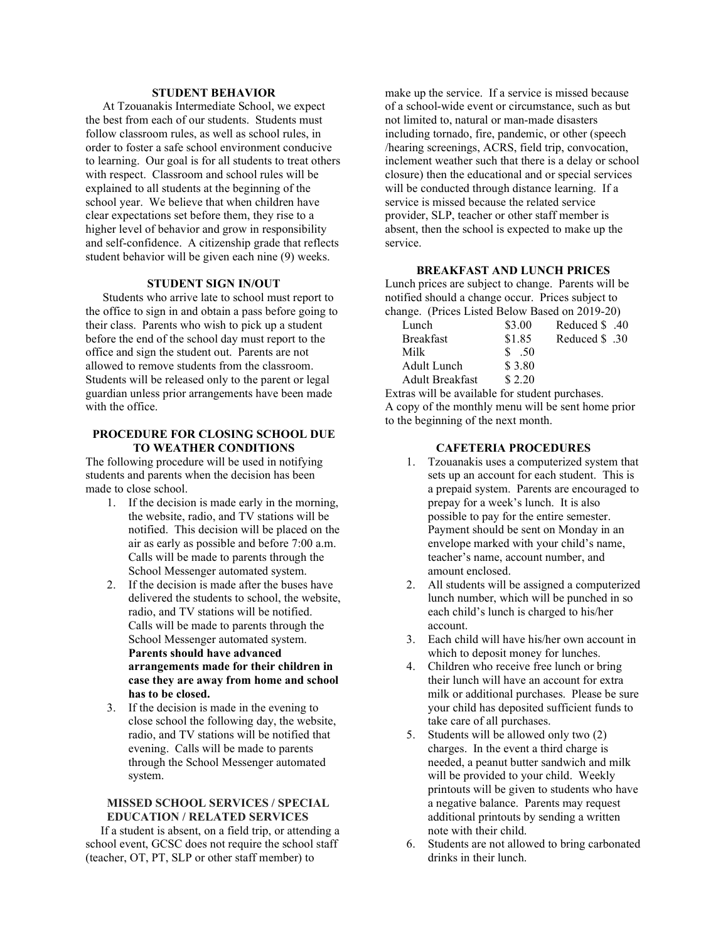# STUDENT BEHAVIOR

At Tzouanakis Intermediate School, we expect the best from each of our students. Students must follow classroom rules, as well as school rules, in order to foster a safe school environment conducive to learning. Our goal is for all students to treat others with respect. Classroom and school rules will be explained to all students at the beginning of the school year. We believe that when children have clear expectations set before them, they rise to a higher level of behavior and grow in responsibility and self-confidence. A citizenship grade that reflects student behavior will be given each nine (9) weeks.

# STUDENT SIGN IN/OUT

Students who arrive late to school must report to the office to sign in and obtain a pass before going to their class. Parents who wish to pick up a student before the end of the school day must report to the office and sign the student out. Parents are not allowed to remove students from the classroom. Students will be released only to the parent or legal guardian unless prior arrangements have been made with the office.

## PROCEDURE FOR CLOSING SCHOOL DUE TO WEATHER CONDITIONS

The following procedure will be used in notifying students and parents when the decision has been made to close school.

- 1. If the decision is made early in the morning, the website, radio, and TV stations will be notified. This decision will be placed on the air as early as possible and before 7:00 a.m. Calls will be made to parents through the School Messenger automated system.
- 2. If the decision is made after the buses have delivered the students to school, the website, radio, and TV stations will be notified. Calls will be made to parents through the School Messenger automated system. Parents should have advanced arrangements made for their children in case they are away from home and school has to be closed.
- 3. If the decision is made in the evening to close school the following day, the website, radio, and TV stations will be notified that evening. Calls will be made to parents through the School Messenger automated system.

# MISSED SCHOOL SERVICES / SPECIAL EDUCATION / RELATED SERVICES

 If a student is absent, on a field trip, or attending a school event, GCSC does not require the school staff (teacher, OT, PT, SLP or other staff member) to

make up the service. If a service is missed because of a school-wide event or circumstance, such as but not limited to, natural or man-made disasters including tornado, fire, pandemic, or other (speech /hearing screenings, ACRS, field trip, convocation, inclement weather such that there is a delay or school closure) then the educational and or special services will be conducted through distance learning. If a service is missed because the related service provider, SLP, teacher or other staff member is absent, then the school is expected to make up the service.

## BREAKFAST AND LUNCH PRICES

Lunch prices are subject to change. Parents will be notified should a change occur. Prices subject to change. (Prices Listed Below Based on 2019-20)

| \$3.00 | Atlanced \$ .40 |
|--------|-----------------|
| \$1.85 | 30. Reduced \$  |
| \$.50  |                 |
| \$3.80 |                 |
| \$2.20 |                 |
|        |                 |

Extras will be available for student purchases. A copy of the monthly menu will be sent home prior to the beginning of the next month.

# CAFETERIA PROCEDURES

- 1. Tzouanakis uses a computerized system that sets up an account for each student. This is a prepaid system. Parents are encouraged to prepay for a week's lunch. It is also possible to pay for the entire semester. Payment should be sent on Monday in an envelope marked with your child's name, teacher's name, account number, and amount enclosed.
- 2. All students will be assigned a computerized lunch number, which will be punched in so each child's lunch is charged to his/her account.
- 3. Each child will have his/her own account in which to deposit money for lunches.
- 4. Children who receive free lunch or bring their lunch will have an account for extra milk or additional purchases. Please be sure your child has deposited sufficient funds to take care of all purchases.
- 5. Students will be allowed only two (2) charges. In the event a third charge is needed, a peanut butter sandwich and milk will be provided to your child. Weekly printouts will be given to students who have a negative balance. Parents may request additional printouts by sending a written note with their child.
- 6. Students are not allowed to bring carbonated drinks in their lunch.